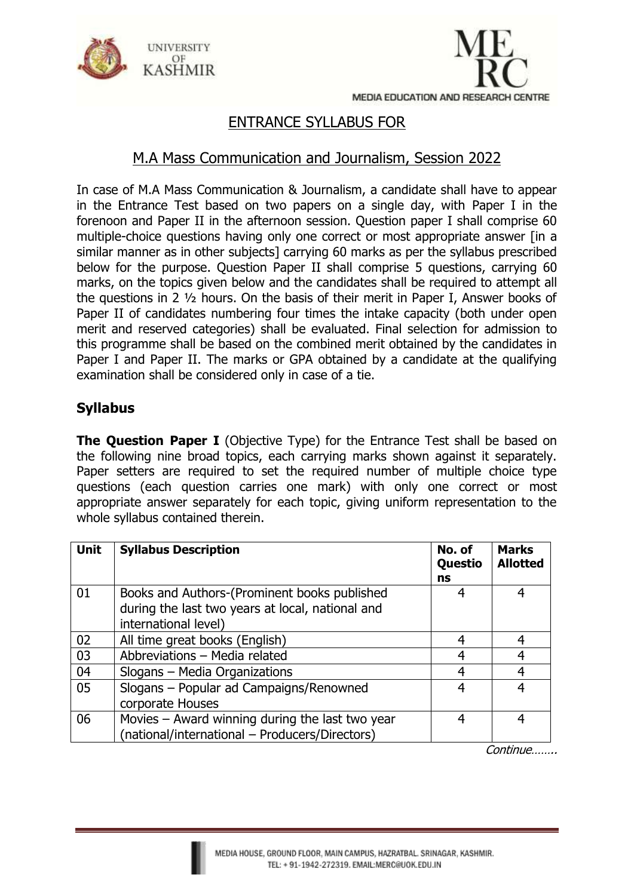



## ENTRANCE SYLLABUS FOR

## M.A Mass Communication and Journalism, Session 2022

In case of M.A Mass Communication & Journalism, a candidate shall have to appear in the Entrance Test based on two papers on a single day, with Paper I in the forenoon and Paper II in the afternoon session. Question paper I shall comprise 60 multiple-choice questions having only one correct or most appropriate answer [in a similar manner as in other subjects] carrying 60 marks as per the syllabus prescribed below for the purpose. Question Paper II shall comprise 5 questions, carrying 60 marks, on the topics given below and the candidates shall be required to attempt all the questions in 2 ½ hours. On the basis of their merit in Paper I, Answer books of Paper II of candidates numbering four times the intake capacity (both under open merit and reserved categories) shall be evaluated. Final selection for admission to this programme shall be based on the combined merit obtained by the candidates in Paper I and Paper II. The marks or GPA obtained by a candidate at the qualifying examination shall be considered only in case of a tie.

## **Syllabus**

**The Question Paper I** (Objective Type) for the Entrance Test shall be based on the following nine broad topics, each carrying marks shown against it separately. Paper setters are required to set the required number of multiple choice type questions (each question carries one mark) with only one correct or most appropriate answer separately for each topic, giving uniform representation to the whole syllabus contained therein.

| <b>Unit</b> | <b>Syllabus Description</b>                                                                                              | No. of<br>Questio<br>ns | <b>Marks</b><br><b>Allotted</b> |
|-------------|--------------------------------------------------------------------------------------------------------------------------|-------------------------|---------------------------------|
| 01          | Books and Authors-(Prominent books published<br>during the last two years at local, national and<br>international level) | 4                       | 4                               |
| 02          | All time great books (English)                                                                                           | 4                       | 4                               |
| 03          | Abbreviations - Media related                                                                                            | 4                       | 4                               |
| 04          | Slogans - Media Organizations                                                                                            | 4                       | 4                               |
| 05          | Slogans - Popular ad Campaigns/Renowned<br>corporate Houses                                                              | 4                       | 4                               |
| 06          | Movies - Award winning during the last two year<br>(national/international - Producers/Directors)                        | 4                       | 4                               |

Continue……..